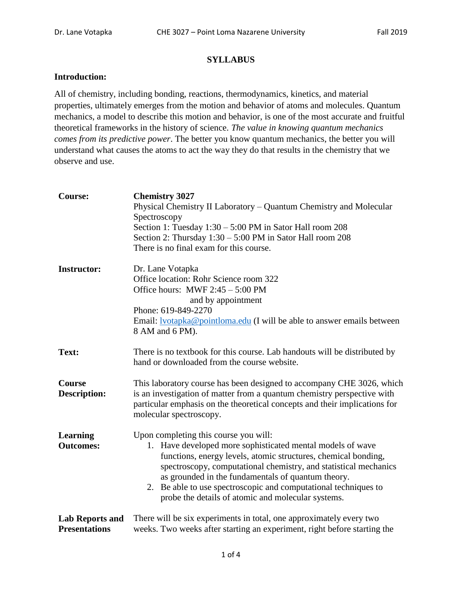## **SYLLABUS**

## **Introduction:**

All of chemistry, including bonding, reactions, thermodynamics, kinetics, and material properties, ultimately emerges from the motion and behavior of atoms and molecules. Quantum mechanics, a model to describe this motion and behavior, is one of the most accurate and fruitful theoretical frameworks in the history of science. *The value in knowing quantum mechanics comes from its predictive power*. The better you know quantum mechanics, the better you will understand what causes the atoms to act the way they do that results in the chemistry that we observe and use.

| <b>Course:</b>                                 | <b>Chemistry 3027</b><br>Physical Chemistry II Laboratory – Quantum Chemistry and Molecular<br>Spectroscopy<br>Section 1: Tuesday $1:30 - 5:00$ PM in Sator Hall room 208<br>Section 2: Thursday $1:30 - 5:00$ PM in Sator Hall room 208<br>There is no final exam for this course.                                                                                                                                      |  |  |
|------------------------------------------------|--------------------------------------------------------------------------------------------------------------------------------------------------------------------------------------------------------------------------------------------------------------------------------------------------------------------------------------------------------------------------------------------------------------------------|--|--|
| <b>Instructor:</b>                             | Dr. Lane Votapka<br>Office location: Rohr Science room 322<br>Office hours: MWF $2:45 - 5:00$ PM<br>and by appointment<br>Phone: 619-849-2270<br>Email: <u>Ivotapka@pointloma.edu</u> (I will be able to answer emails between<br>8 AM and 6 PM).                                                                                                                                                                        |  |  |
| Text:                                          | There is no textbook for this course. Lab handouts will be distributed by<br>hand or downloaded from the course website.                                                                                                                                                                                                                                                                                                 |  |  |
| Course<br><b>Description:</b>                  | This laboratory course has been designed to accompany CHE 3026, which<br>is an investigation of matter from a quantum chemistry perspective with<br>particular emphasis on the theoretical concepts and their implications for<br>molecular spectroscopy.                                                                                                                                                                |  |  |
| <b>Learning</b><br><b>Outcomes:</b>            | Upon completing this course you will:<br>1. Have developed more sophisticated mental models of wave<br>functions, energy levels, atomic structures, chemical bonding,<br>spectroscopy, computational chemistry, and statistical mechanics<br>as grounded in the fundamentals of quantum theory.<br>2. Be able to use spectroscopic and computational techniques to<br>probe the details of atomic and molecular systems. |  |  |
| <b>Lab Reports and</b><br><b>Presentations</b> | There will be six experiments in total, one approximately every two<br>weeks. Two weeks after starting an experiment, right before starting the                                                                                                                                                                                                                                                                          |  |  |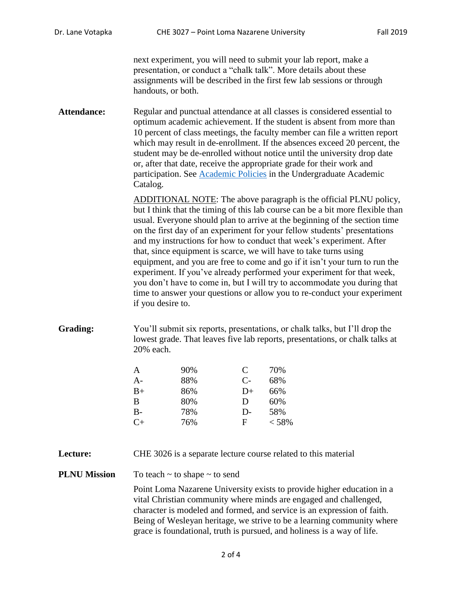next experiment, you will need to submit your lab report, make a presentation, or conduct a "chalk talk". More details about these assignments will be described in the first few lab sessions or through handouts, or both.

Attendance: Regular and punctual attendance at all classes is considered essential to optimum academic achievement. If the student is absent from more than 10 percent of class meetings, the faculty member can file a written report which may result in de-enrollment. If the absences exceed 20 percent, the student may be de-enrolled without notice until the university drop date or, after that date, receive the appropriate grade for their work and participation. See [Academic Policies](http://catalog.pointloma.edu/content.php?catoid=18&navoid=1278) in the Undergraduate Academic Catalog.

> ADDITIONAL NOTE: The above paragraph is the official PLNU policy, but I think that the timing of this lab course can be a bit more flexible than usual. Everyone should plan to arrive at the beginning of the section time on the first day of an experiment for your fellow students' presentations and my instructions for how to conduct that week's experiment. After that, since equipment is scarce, we will have to take turns using equipment, and you are free to come and go if it isn't your turn to run the experiment. If you've already performed your experiment for that week, you don't have to come in, but I will try to accommodate you during that time to answer your questions or allow you to re-conduct your experiment if you desire to.

**Grading:** You'll submit six reports, presentations, or chalk talks, but I'll drop the lowest grade. That leaves five lab reports, presentations, or chalk talks at 20% each.

| A         | 90% | C            | 70%   |
|-----------|-----|--------------|-------|
| A-        | 88% | $C-$         | 68%   |
| B+        | 86% | $D+$         | 66%   |
| B         | 80% | D            | 60%   |
| В-        | 78% | $D-$         | 58%   |
| $C_{\pm}$ | 76% | $\mathbf{F}$ | < 58% |

**Lecture:** CHE 3026 is a separate lecture course related to this material

**PLNU Mission** To teach ~ to shape ~ to send

Point Loma Nazarene University exists to provide higher education in a vital Christian community where minds are engaged and challenged, character is modeled and formed, and service is an expression of faith. Being of Wesleyan heritage, we strive to be a learning community where grace is foundational, truth is pursued, and holiness is a way of life.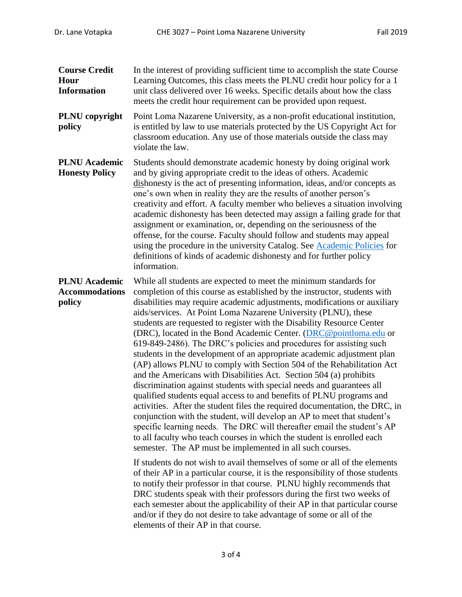| <b>Course Credit</b><br>Hour<br><b>Information</b>      | In the interest of providing sufficient time to accomplish the state Course<br>Learning Outcomes, this class meets the PLNU credit hour policy for a 1<br>unit class delivered over 16 weeks. Specific details about how the class<br>meets the credit hour requirement can be provided upon request.                                                                                                                                                                                                                                                                                                                                                                                                                                                                                                                                                                                                                                                                                                                                                                                                                                                                                                                                                                                                                                                                                                                                                                                                                                                                                                                                                                                                                                                                                       |  |  |
|---------------------------------------------------------|---------------------------------------------------------------------------------------------------------------------------------------------------------------------------------------------------------------------------------------------------------------------------------------------------------------------------------------------------------------------------------------------------------------------------------------------------------------------------------------------------------------------------------------------------------------------------------------------------------------------------------------------------------------------------------------------------------------------------------------------------------------------------------------------------------------------------------------------------------------------------------------------------------------------------------------------------------------------------------------------------------------------------------------------------------------------------------------------------------------------------------------------------------------------------------------------------------------------------------------------------------------------------------------------------------------------------------------------------------------------------------------------------------------------------------------------------------------------------------------------------------------------------------------------------------------------------------------------------------------------------------------------------------------------------------------------------------------------------------------------------------------------------------------------|--|--|
| PLNU copyright<br>policy                                | Point Loma Nazarene University, as a non-profit educational institution,<br>is entitled by law to use materials protected by the US Copyright Act for<br>classroom education. Any use of those materials outside the class may<br>violate the law.                                                                                                                                                                                                                                                                                                                                                                                                                                                                                                                                                                                                                                                                                                                                                                                                                                                                                                                                                                                                                                                                                                                                                                                                                                                                                                                                                                                                                                                                                                                                          |  |  |
| <b>PLNU</b> Academic<br><b>Honesty Policy</b>           | Students should demonstrate academic honesty by doing original work<br>and by giving appropriate credit to the ideas of others. Academic<br>dishonesty is the act of presenting information, ideas, and/or concepts as<br>one's own when in reality they are the results of another person's<br>creativity and effort. A faculty member who believes a situation involving<br>academic dishonesty has been detected may assign a failing grade for that<br>assignment or examination, or, depending on the seriousness of the<br>offense, for the course. Faculty should follow and students may appeal<br>using the procedure in the university Catalog. See Academic Policies for<br>definitions of kinds of academic dishonesty and for further policy<br>information.                                                                                                                                                                                                                                                                                                                                                                                                                                                                                                                                                                                                                                                                                                                                                                                                                                                                                                                                                                                                                   |  |  |
| <b>PLNU</b> Academic<br><b>Accommodations</b><br>policy | While all students are expected to meet the minimum standards for<br>completion of this course as established by the instructor, students with<br>disabilities may require academic adjustments, modifications or auxiliary<br>aids/services. At Point Loma Nazarene University (PLNU), these<br>students are requested to register with the Disability Resource Center<br>(DRC), located in the Bond Academic Center. (DRC@pointloma.edu or<br>619-849-2486). The DRC's policies and procedures for assisting such<br>students in the development of an appropriate academic adjustment plan<br>(AP) allows PLNU to comply with Section 504 of the Rehabilitation Act<br>and the Americans with Disabilities Act. Section 504 (a) prohibits<br>discrimination against students with special needs and guarantees all<br>qualified students equal access to and benefits of PLNU programs and<br>activities. After the student files the required documentation, the DRC, in<br>conjunction with the student, will develop an AP to meet that student's<br>specific learning needs. The DRC will thereafter email the student's AP<br>to all faculty who teach courses in which the student is enrolled each<br>semester. The AP must be implemented in all such courses.<br>If students do not wish to avail themselves of some or all of the elements<br>of their AP in a particular course, it is the responsibility of those students<br>to notify their professor in that course. PLNU highly recommends that<br>DRC students speak with their professors during the first two weeks of<br>each semester about the applicability of their AP in that particular course<br>and/or if they do not desire to take advantage of some or all of the<br>elements of their AP in that course. |  |  |